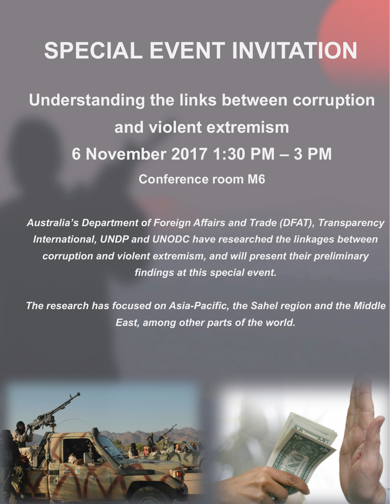# SPECIAL EVENT INVITATION

Understanding the links between corruption and violent extremism 6 November 2017 1:30 PM – 3 PM Conference room M6

*Australia's Department of Foreign Affairs and Trade (DFAT), Transparency International, UNDP and UNODC have researched the linkages between corruption and violent extremism, and will present their preliminary findings at this special event.* 

*The research has focused on Asia-Pacific, the Sahel region and the Middle East, among other parts of the world.*